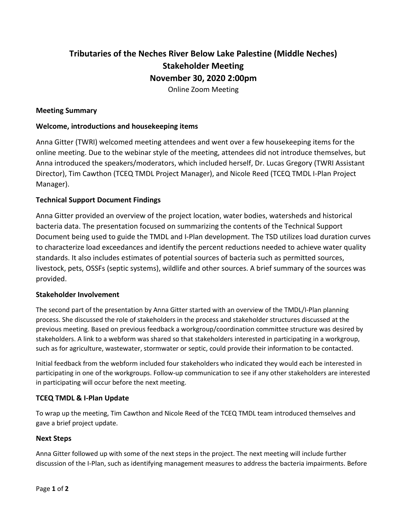# **Tributaries of the Neches River Below Lake Palestine (Middle Neches) Stakeholder Meeting November 30, 2020 2:00pm**

Online Zoom Meeting

#### **Meeting Summary**

### **Welcome, introductions and housekeeping items**

Anna Gitter (TWRI) welcomed meeting attendees and went over a few housekeeping items for the online meeting. Due to the webinar style of the meeting, attendees did not introduce themselves, but Anna introduced the speakers/moderators, which included herself, Dr. Lucas Gregory (TWRI Assistant Director), Tim Cawthon (TCEQ TMDL Project Manager), and Nicole Reed (TCEQ TMDL I-Plan Project Manager).

#### **Technical Support Document Findings**

Anna Gitter provided an overview of the project location, water bodies, watersheds and historical bacteria data. The presentation focused on summarizing the contents of the Technical Support Document being used to guide the TMDL and I-Plan development. The TSD utilizes load duration curves to characterize load exceedances and identify the percent reductions needed to achieve water quality standards. It also includes estimates of potential sources of bacteria such as permitted sources, livestock, pets, OSSFs (septic systems), wildlife and other sources. A brief summary of the sources was provided.

#### **Stakeholder Involvement**

The second part of the presentation by Anna Gitter started with an overview of the TMDL/I-Plan planning process. She discussed the role of stakeholders in the process and stakeholder structures discussed at the previous meeting. Based on previous feedback a workgroup/coordination committee structure was desired by stakeholders. A link to a webform was shared so that stakeholders interested in participating in a workgroup, such as for agriculture, wastewater, stormwater or septic, could provide their information to be contacted.

Initial feedback from the webform included four stakeholders who indicated they would each be interested in participating in one of the workgroups. Follow-up communication to see if any other stakeholders are interested in participating will occur before the next meeting.

## **TCEQ TMDL & I-Plan Update**

To wrap up the meeting, Tim Cawthon and Nicole Reed of the TCEQ TMDL team introduced themselves and gave a brief project update.

## **Next Steps**

Anna Gitter followed up with some of the next steps in the project. The next meeting will include further discussion of the I-Plan, such as identifying management measures to address the bacteria impairments. Before